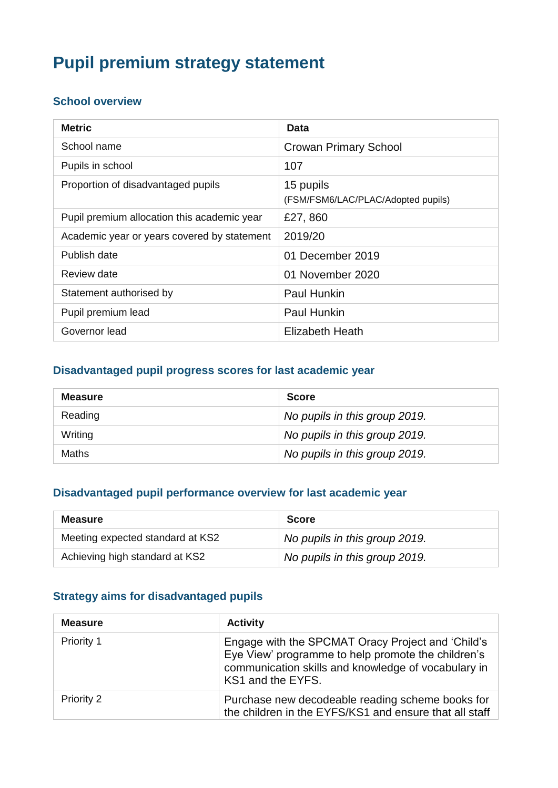# **Pupil premium strategy statement**

#### **School overview**

| <b>Metric</b>                               | Data                                            |
|---------------------------------------------|-------------------------------------------------|
| School name                                 | <b>Crowan Primary School</b>                    |
| Pupils in school                            | 107                                             |
| Proportion of disadvantaged pupils          | 15 pupils<br>(FSM/FSM6/LAC/PLAC/Adopted pupils) |
| Pupil premium allocation this academic year | £27,860                                         |
| Academic year or years covered by statement | 2019/20                                         |
| Publish date                                | 01 December 2019                                |
| Review date                                 | 01 November 2020                                |
| Statement authorised by                     | <b>Paul Hunkin</b>                              |
| Pupil premium lead                          | Paul Hunkin                                     |
| Governor lead                               | Elizabeth Heath                                 |

#### **Disadvantaged pupil progress scores for last academic year**

| <b>Measure</b> | <b>Score</b>                  |
|----------------|-------------------------------|
| Reading        | No pupils in this group 2019. |
| Writing        | No pupils in this group 2019. |
| <b>Maths</b>   | No pupils in this group 2019. |

#### **Disadvantaged pupil performance overview for last academic year**

| <b>Measure</b>                   | <b>Score</b>                  |
|----------------------------------|-------------------------------|
| Meeting expected standard at KS2 | No pupils in this group 2019. |
| Achieving high standard at KS2   | No pupils in this group 2019. |

#### **Strategy aims for disadvantaged pupils**

| <b>Measure</b> | <b>Activity</b>                                                                                                                                                                     |
|----------------|-------------------------------------------------------------------------------------------------------------------------------------------------------------------------------------|
| Priority 1     | Engage with the SPCMAT Oracy Project and 'Child's<br>Eye View' programme to help promote the children's<br>communication skills and knowledge of vocabulary in<br>KS1 and the EYFS. |
| Priority 2     | Purchase new decodeable reading scheme books for<br>the children in the EYFS/KS1 and ensure that all staff                                                                          |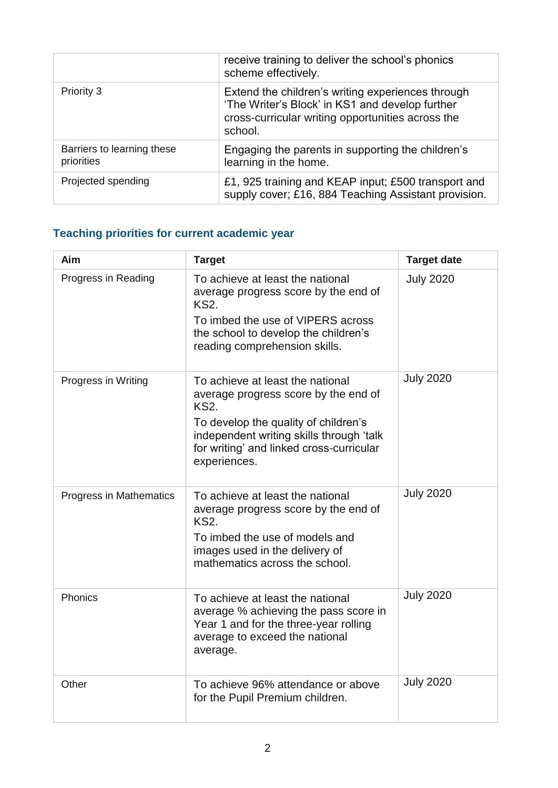|                                          | receive training to deliver the school's phonics<br>scheme effectively.                                                                                              |
|------------------------------------------|----------------------------------------------------------------------------------------------------------------------------------------------------------------------|
| Priority 3                               | Extend the children's writing experiences through<br>'The Writer's Block' in KS1 and develop further<br>cross-curricular writing opportunities across the<br>school. |
| Barriers to learning these<br>priorities | Engaging the parents in supporting the children's<br>learning in the home.                                                                                           |
| Projected spending                       | £1, 925 training and KEAP input; £500 transport and<br>supply cover; £16, 884 Teaching Assistant provision.                                                          |

# **Teaching priorities for current academic year**

| <b>Aim</b>              | <b>Target</b>                                                                                                                                                                                                                           | <b>Target date</b> |
|-------------------------|-----------------------------------------------------------------------------------------------------------------------------------------------------------------------------------------------------------------------------------------|--------------------|
| Progress in Reading     | To achieve at least the national<br>average progress score by the end of<br><b>KS2.</b><br>To imbed the use of VIPERS across<br>the school to develop the children's<br>reading comprehension skills.                                   | <b>July 2020</b>   |
| Progress in Writing     | To achieve at least the national<br>average progress score by the end of<br><b>KS2.</b><br>To develop the quality of children's<br>independent writing skills through 'talk<br>for writing' and linked cross-curricular<br>experiences. | <b>July 2020</b>   |
| Progress in Mathematics | To achieve at least the national<br>average progress score by the end of<br><b>KS2.</b><br>To imbed the use of models and<br>images used in the delivery of<br>mathematics across the school.                                           | <b>July 2020</b>   |
| Phonics                 | To achieve at least the national<br>average % achieving the pass score in<br>Year 1 and for the three-year rolling<br>average to exceed the national<br>average.                                                                        | <b>July 2020</b>   |
| Other                   | To achieve 96% attendance or above<br>for the Pupil Premium children.                                                                                                                                                                   | <b>July 2020</b>   |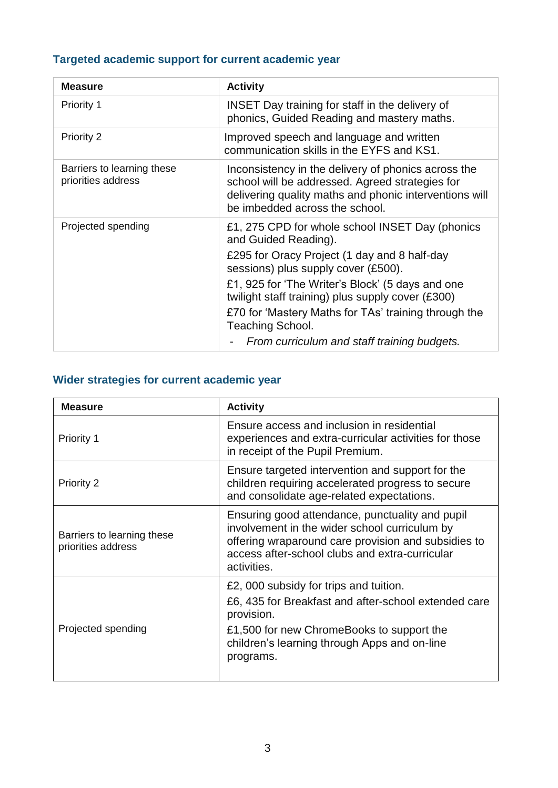# **Targeted academic support for current academic year**

| <b>Measure</b>                                   | <b>Activity</b>                                                                                                                                                                                                                                                                                                                                                                                    |
|--------------------------------------------------|----------------------------------------------------------------------------------------------------------------------------------------------------------------------------------------------------------------------------------------------------------------------------------------------------------------------------------------------------------------------------------------------------|
| <b>Priority 1</b>                                | <b>INSET Day training for staff in the delivery of</b><br>phonics, Guided Reading and mastery maths.                                                                                                                                                                                                                                                                                               |
| Priority 2                                       | Improved speech and language and written<br>communication skills in the EYFS and KS1.                                                                                                                                                                                                                                                                                                              |
| Barriers to learning these<br>priorities address | Inconsistency in the delivery of phonics across the<br>school will be addressed. Agreed strategies for<br>delivering quality maths and phonic interventions will<br>be imbedded across the school.                                                                                                                                                                                                 |
| Projected spending                               | £1, 275 CPD for whole school INSET Day (phonics<br>and Guided Reading).<br>£295 for Oracy Project (1 day and 8 half-day<br>sessions) plus supply cover (£500).<br>£1, 925 for 'The Writer's Block' (5 days and one<br>twilight staff training) plus supply cover (£300)<br>£70 for 'Mastery Maths for TAs' training through the<br>Teaching School.<br>From curriculum and staff training budgets. |

# **Wider strategies for current academic year**

| <b>Measure</b>                                   | <b>Activity</b>                                                                                                                                                                                                          |
|--------------------------------------------------|--------------------------------------------------------------------------------------------------------------------------------------------------------------------------------------------------------------------------|
| Priority 1                                       | Ensure access and inclusion in residential<br>experiences and extra-curricular activities for those<br>in receipt of the Pupil Premium.                                                                                  |
| Priority 2                                       | Ensure targeted intervention and support for the<br>children requiring accelerated progress to secure<br>and consolidate age-related expectations.                                                                       |
| Barriers to learning these<br>priorities address | Ensuring good attendance, punctuality and pupil<br>involvement in the wider school curriculum by<br>offering wraparound care provision and subsidies to<br>access after-school clubs and extra-curricular<br>activities. |
| Projected spending                               | £2, 000 subsidy for trips and tuition.<br>£6, 435 for Breakfast and after-school extended care<br>provision.<br>£1,500 for new ChromeBooks to support the<br>children's learning through Apps and on-line<br>programs.   |